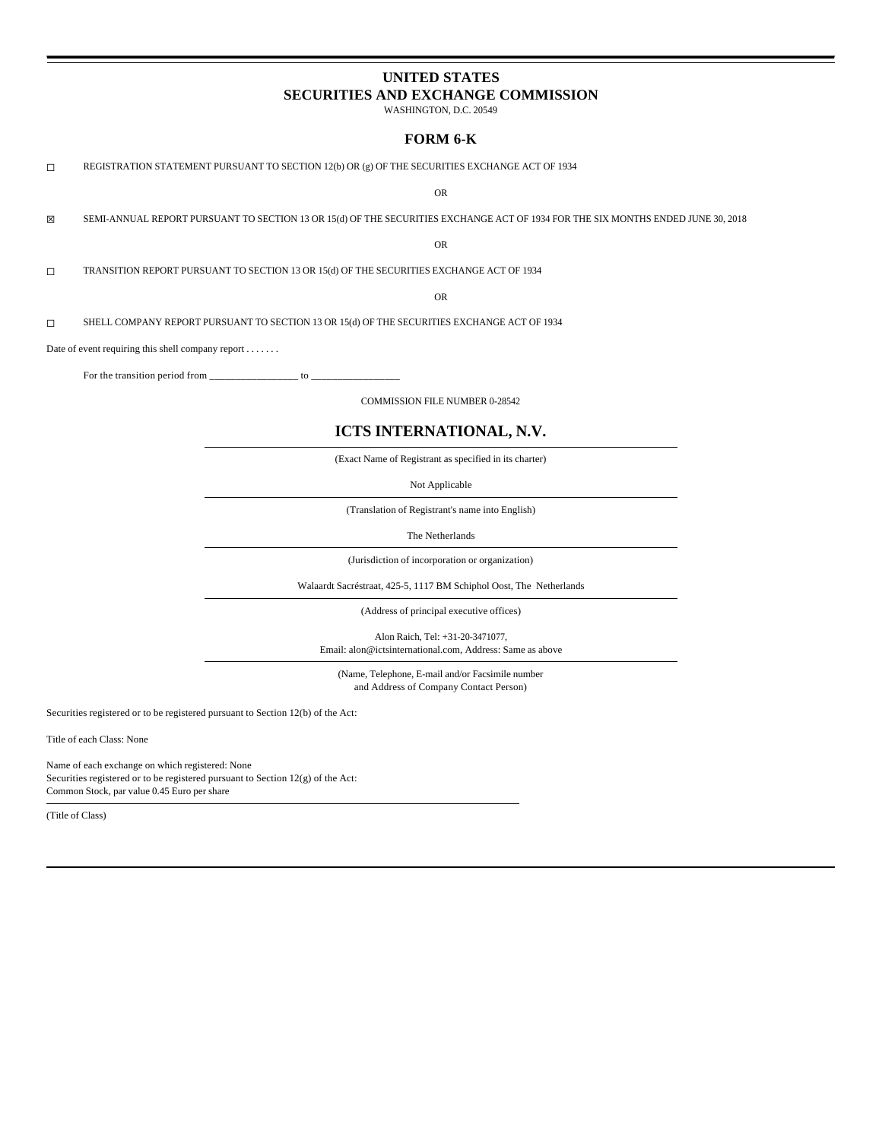# **UNITED STATES SECURITIES AND EXCHANGE COMMISSION**

WASHINGTON, D.C. 20549

# **FORM 6-K**

<code>C $\Box$ REGISTRATION</code> STATEMENT PURSUANT TO SECTION 12(b) OR (g) OF THE SECURITIES EXCHANGE ACT OF 1934

OR

☒ SEMI-ANNUAL REPORT PURSUANT TO SECTION 13 OR 15(d) OF THE SECURITIES EXCHANGE ACT OF 1934 FOR THE SIX MONTHS ENDED JUNE 30, 2018

OR

☐ TRANSITION REPORT PURSUANT TO SECTION 13 OR 15(d) OF THE SECURITIES EXCHANGE ACT OF 1934

OR

☐ SHELL COMPANY REPORT PURSUANT TO SECTION 13 OR 15(d) OF THE SECURITIES EXCHANGE ACT OF 1934

Date of event requiring this shell company report . . . . . . .

For the transition period from  $\frac{1}{2}$  =  $\frac{1}{2}$  to  $\frac{1}{2}$ 

COMMISSION FILE NUMBER 0-28542

# **ICTS INTERNATIONAL, N.V.**

(Exact Name of Registrant as specified in its charter)

Not Applicable

(Translation of Registrant's name into English)

The Netherlands

(Jurisdiction of incorporation or organization)

Walaardt Sacréstraat, 425-5, 1117 BM Schiphol Oost, The Netherlands

(Address of principal executive offices)

Alon Raich, Tel: +31-20-3471077, Email: alon@ictsinternational.com, Address: Same as above

(Name, Telephone, E-mail and/or Facsimile number and Address of Company Contact Person)

Securities registered or to be registered pursuant to Section 12(b) of the Act:

Title of each Class: None

Name of each exchange on which registered: None Securities registered or to be registered pursuant to Section 12(g) of the Act: Common Stock, par value 0.45 Euro per share

(Title of Class)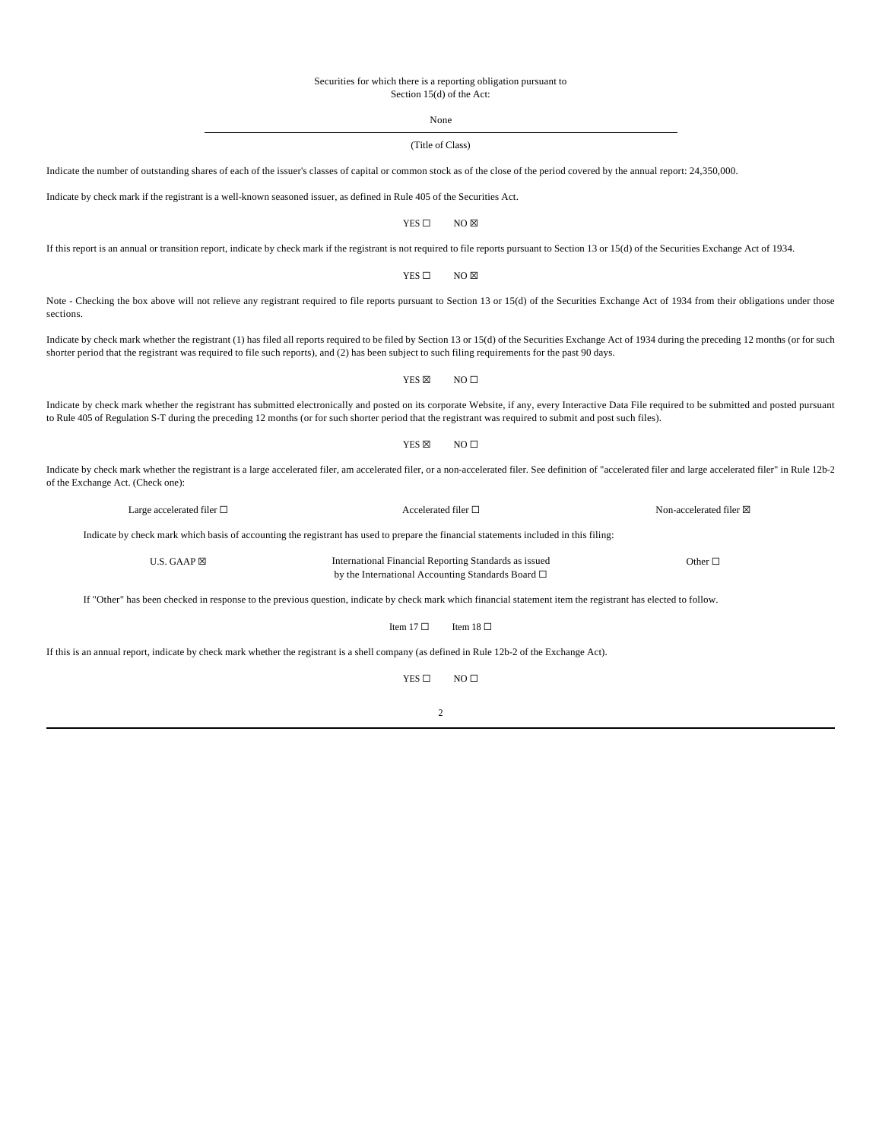## Securities for which there is a reporting obligation pursuant to Section 15(d) of the Act:

None

(Title of Class)

Indicate the number of outstanding shares of each of the issuer's classes of capital or common stock as of the close of the period covered by the annual report: 24,350,000.

Indicate by check mark if the registrant is a well-known seasoned issuer, as defined in Rule 405 of the Securities Act.

 $YFS \Box$  NO  $\boxtimes$ 

If this report is an annual or transition report, indicate by check mark if the registrant is not required to file reports pursuant to Section 13 or 15(d) of the Securities Exchange Act of 1934.

 $YES \Box$  NO  $\boxtimes$ 

Note - Checking the box above will not relieve any registrant required to file reports pursuant to Section 13 or 15(d) of the Securities Exchange Act of 1934 from their obligations under those sections.

Indicate by check mark whether the registrant (1) has filed all reports required to be filed by Section 13 or 15(d) of the Securities Exchange Act of 1934 during the preceding 12 months (or for such shorter period that the registrant was required to file such reports), and (2) has been subject to such filing requirements for the past 90 days.

YES  $\boxtimes$  NO  $\Box$ 

Indicate by check mark whether the registrant has submitted electronically and posted on its corporate Website, if any, every Interactive Data File required to be submitted and posted pursuant to Rule 405 of Regulation S-T during the preceding 12 months (or for such shorter period that the registrant was required to submit and post such files).

Indicate by check mark whether the registrant is a large accelerated filer, am accelerated filer, or a non-accelerated filer. See definition of "accelerated filer and large accelerated filer" in Rule 12b-2 of the Exchange Act. (Check one):

YES  $\boxtimes$  NO  $\Box$ 

| Large accelerated filer $\Box$                                                                                                                                | Accelerated filer $\Box$                                                                                        | Non-accelerated filer $\boxtimes$ |  |  |
|---------------------------------------------------------------------------------------------------------------------------------------------------------------|-----------------------------------------------------------------------------------------------------------------|-----------------------------------|--|--|
| Indicate by check mark which basis of accounting the registrant has used to prepare the financial statements included in this filing:                         |                                                                                                                 |                                   |  |  |
| U.S. GAAP $\boxtimes$                                                                                                                                         | International Financial Reporting Standards as issued<br>by the International Accounting Standards Board $\Box$ | Other $\square$                   |  |  |
| If "Other" has been checked in response to the previous question, indicate by check mark which financial statement item the registrant has elected to follow. |                                                                                                                 |                                   |  |  |
|                                                                                                                                                               | Item 17 $\Box$<br>Item 18 $\Box$                                                                                |                                   |  |  |

If this is an annual report, indicate by check mark whether the registrant is a shell company (as defined in Rule 12b-2 of the Exchange Act).

 $YES \Box$  NO  $\Box$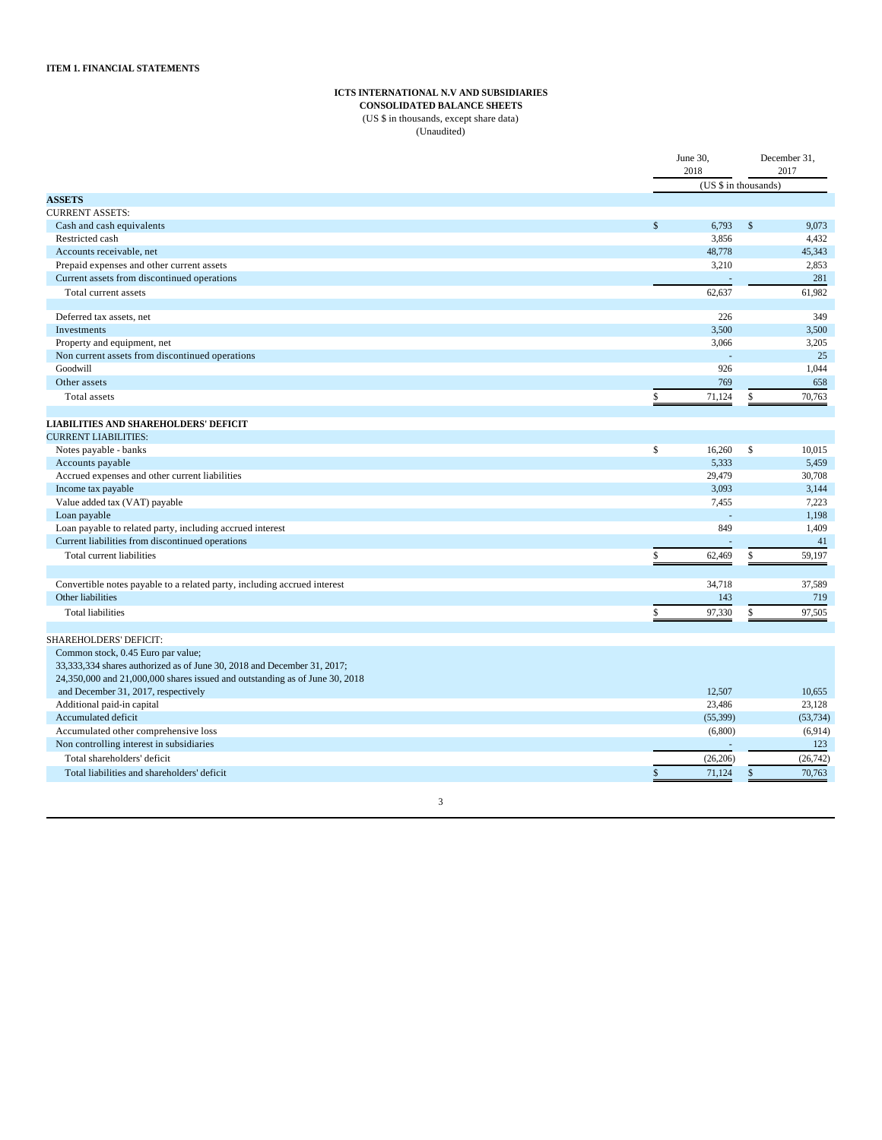#### **ICTS INTERNATIONAL N.V AND SUBSIDIARIES**

**CONSOLIDATED BALANCE SHEETS**

(US \$ in thousands, except share data) (Unaudited)

|                                                                             |              | June 30,<br>2018     |               | December 31,<br>2017 |
|-----------------------------------------------------------------------------|--------------|----------------------|---------------|----------------------|
|                                                                             |              | (US \$ in thousands) |               |                      |
| <b>ASSETS</b>                                                               |              |                      |               |                      |
| <b>CURRENT ASSETS:</b>                                                      |              |                      |               |                      |
| Cash and cash equivalents                                                   | $\mathsf{s}$ | 6,793                | $\mathsf{\$}$ | 9,073                |
| Restricted cash                                                             |              | 3,856                |               | 4,432                |
| Accounts receivable, net                                                    |              | 48.778               |               | 45,343               |
| Prepaid expenses and other current assets                                   |              | 3,210                |               | 2,853                |
| Current assets from discontinued operations                                 |              |                      |               | 281                  |
| Total current assets                                                        |              | 62,637               |               | 61,982               |
|                                                                             |              |                      |               |                      |
| Deferred tax assets, net                                                    |              | 226                  |               | 349                  |
| Investments                                                                 |              | 3,500                |               | 3,500                |
| Property and equipment, net                                                 |              | 3,066                |               | 3,205                |
| Non current assets from discontinued operations                             |              |                      |               | 25                   |
| Goodwill                                                                    |              | 926                  |               | 1,044                |
| Other assets                                                                |              | 769                  |               | 658                  |
| Total assets                                                                | \$           | 71,124               | \$            | 70.763               |
|                                                                             |              |                      |               |                      |
| <b>LIABILITIES AND SHAREHOLDERS' DEFICIT</b>                                |              |                      |               |                      |
| <b>CURRENT LIABILITIES:</b>                                                 |              |                      |               |                      |
| Notes payable - banks                                                       | \$           | 16,260               | \$            | 10,015               |
| Accounts payable                                                            |              | 5,333                |               | 5,459                |
| Accrued expenses and other current liabilities                              |              | 29,479               |               | 30,708               |
| Income tax payable                                                          |              | 3,093                |               | 3,144                |
| Value added tax (VAT) payable                                               |              | 7,455                |               | 7,223                |
| Loan payable                                                                |              |                      |               | 1,198                |
| Loan payable to related party, including accrued interest                   |              | 849                  |               | 1,409                |
| Current liabilities from discontinued operations                            |              |                      |               | 41                   |
| Total current liabilities                                                   | \$           | 62,469               | \$            | 59,197               |
|                                                                             |              |                      |               |                      |
| Convertible notes payable to a related party, including accrued interest    |              | 34,718               |               | 37,589               |
| Other liabilities                                                           |              | 143                  |               | 719                  |
| <b>Total liabilities</b>                                                    | \$           | 97,330               | \$            | 97.505               |
| <b>SHAREHOLDERS' DEFICIT:</b>                                               |              |                      |               |                      |
| Common stock, 0.45 Euro par value;                                          |              |                      |               |                      |
| 33, 333, 334 shares authorized as of June 30, 2018 and December 31, 2017;   |              |                      |               |                      |
| 24,350,000 and 21,000,000 shares issued and outstanding as of June 30, 2018 |              |                      |               |                      |
| and December 31, 2017, respectively                                         |              | 12.507               |               | 10,655               |
| Additional paid-in capital                                                  |              | 23,486               |               | 23,128               |
| Accumulated deficit                                                         |              | (55, 399)            |               | (53, 734)            |
| Accumulated other comprehensive loss                                        |              | (6,800)              |               | (6,914)              |
| Non controlling interest in subsidiaries                                    |              | ÷,                   |               | 123                  |
| Total shareholders' deficit                                                 |              | (26, 206)            |               | (26, 742)            |
|                                                                             |              |                      |               |                      |
| Total liabilities and shareholders' deficit                                 | \$           | 71,124               | \$            | 70,763               |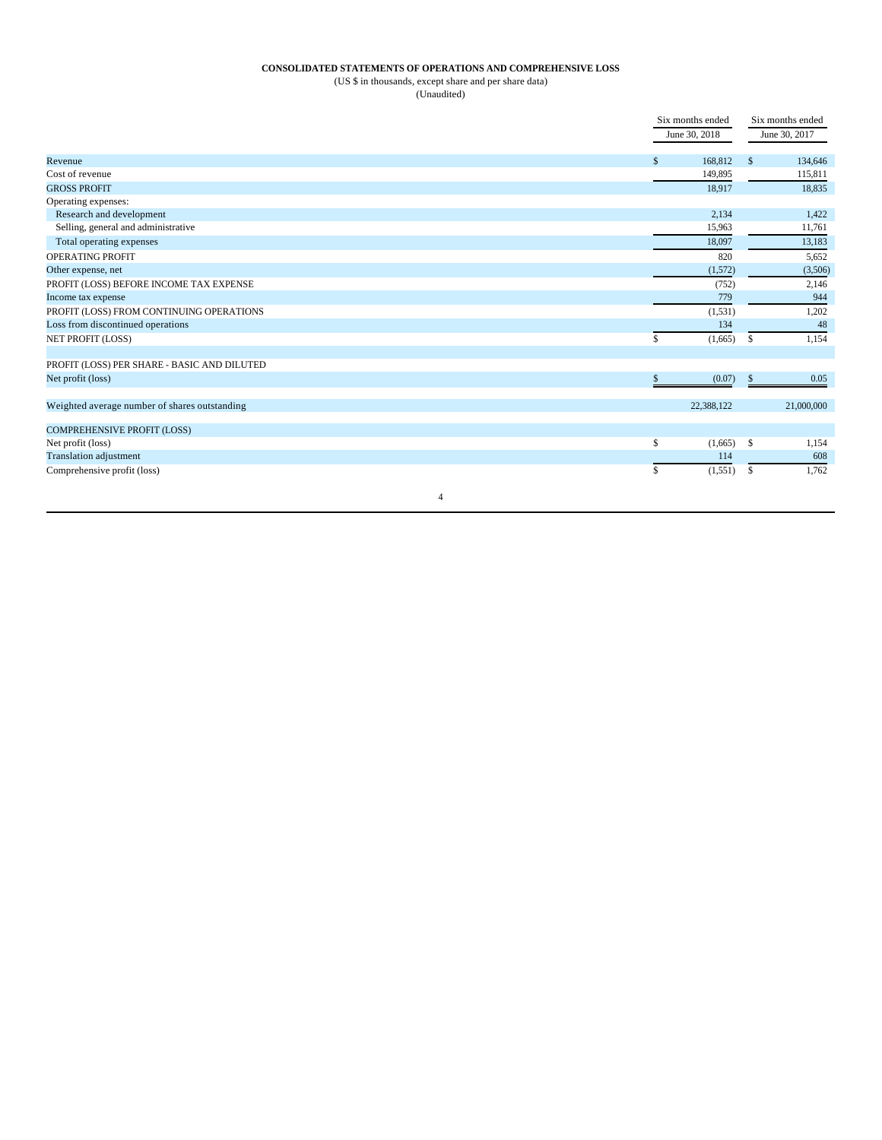# **CONSOLIDATED STATEMENTS OF OPERATIONS AND COMPREHENSIVE LOSS**

(US \$ in thousands, except share and per share data)

(Unaudited)

|                                               | Six months ended | Six months ended         |  |
|-----------------------------------------------|------------------|--------------------------|--|
|                                               | June 30, 2018    | June 30, 2017            |  |
| Revenue                                       | 168,812          |                          |  |
|                                               | \$               | $\mathsf{\$}$<br>134,646 |  |
| Cost of revenue                               | 149,895          | 115,811                  |  |
| <b>GROSS PROFIT</b>                           | 18,917           | 18,835                   |  |
| Operating expenses:                           |                  |                          |  |
| Research and development                      | 2,134            | 1,422                    |  |
| Selling, general and administrative           | 15,963           | 11,761                   |  |
| Total operating expenses                      | 18,097           | 13,183                   |  |
| <b>OPERATING PROFIT</b>                       | 820              | 5,652                    |  |
| Other expense, net                            | (1,572)          | (3,506)                  |  |
| PROFIT (LOSS) BEFORE INCOME TAX EXPENSE       | (752)            | 2,146                    |  |
| Income tax expense                            | 779              | 944                      |  |
| PROFIT (LOSS) FROM CONTINUING OPERATIONS      | (1,531)          | 1,202                    |  |
| Loss from discontinued operations             | 134              | 48                       |  |
| NET PROFIT (LOSS)                             | \$<br>(1,665)    | \$<br>1,154              |  |
|                                               |                  |                          |  |
| PROFIT (LOSS) PER SHARE - BASIC AND DILUTED   |                  |                          |  |
| Net profit (loss)                             | \$<br>(0.07)     | \$<br>0.05               |  |
| Weighted average number of shares outstanding | 22,388,122       | 21,000,000               |  |
| <b>COMPREHENSIVE PROFIT (LOSS)</b>            |                  |                          |  |
| Net profit (loss)                             | \$<br>(1,665)    | \$<br>1,154              |  |
| <b>Translation adjustment</b>                 | 114              | 608                      |  |
| Comprehensive profit (loss)                   | \$<br>(1, 551)   | \$<br>1,762              |  |
| 4                                             |                  |                          |  |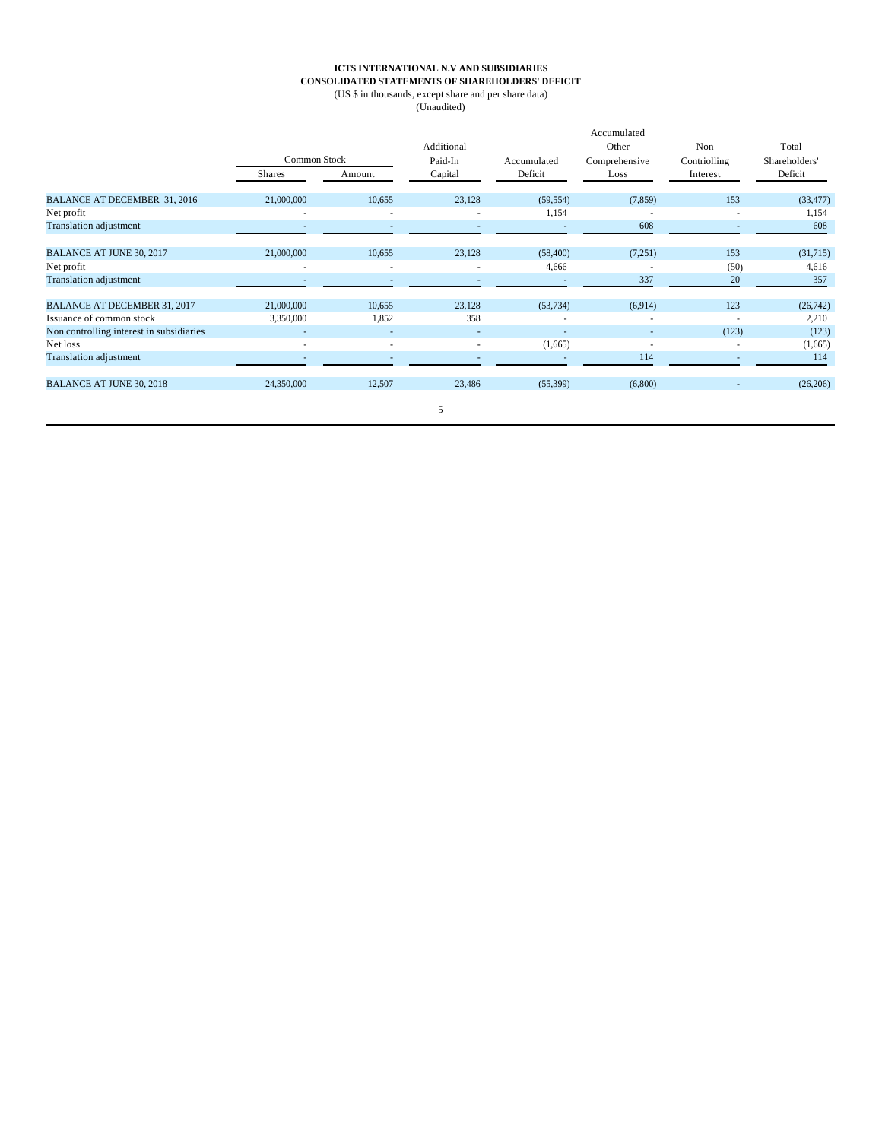# **ICTS INTERNATIONAL N.V AND SUBSIDIARIES CONSOLIDATED STATEMENTS OF SHAREHOLDERS' DEFICIT** (US \$ in thousands, except share and per share data)

(Unaudited)

| $\overline{Q}$ inductively |  |
|----------------------------|--|
|                            |  |
|                            |  |

|                                          |                          |                          | Additional |                          | Accumulated<br>Other     | Non                      | Total         |
|------------------------------------------|--------------------------|--------------------------|------------|--------------------------|--------------------------|--------------------------|---------------|
|                                          | Common Stock             |                          | Paid-In    | Accumulated              | Comprehensive            | Contriolling             | Shareholders' |
|                                          | <b>Shares</b>            | Amount                   | Capital    | Deficit                  | Loss                     | Interest                 | Deficit       |
| BALANCE AT DECEMBER 31, 2016             | 21,000,000               | 10,655                   | 23,128     | (59, 554)                | (7, 859)                 | 153                      | (33, 477)     |
| Net profit                               | ٠                        | ٠                        | ٠          | 1,154                    |                          |                          | 1,154         |
| <b>Translation adjustment</b>            | ۰.                       | $\overline{\phantom{a}}$ | ٠          |                          | 608                      | $\overline{\phantom{a}}$ | 608           |
| <b>BALANCE AT JUNE 30, 2017</b>          | 21,000,000               | 10,655                   | 23,128     | (58, 400)                | (7,251)                  | 153                      | (31,715)      |
| Net profit                               | $\overline{\phantom{a}}$ | $\overline{\phantom{a}}$ | ٠          | 4,666                    | $\overline{\phantom{a}}$ | (50)                     | 4,616         |
| <b>Translation adjustment</b>            |                          |                          |            |                          | 337                      | 20                       | 357           |
| <b>BALANCE AT DECEMBER 31, 2017</b>      | 21,000,000               | 10,655                   | 23,128     | (53, 734)                | (6,914)                  | 123                      | (26, 742)     |
| Issuance of common stock                 | 3,350,000                | 1,852                    | 358        | ×                        |                          |                          | 2,210         |
| Non controlling interest in subsidiaries | $\overline{\phantom{a}}$ | $\overline{\phantom{a}}$ | ٠          | ٠                        |                          | (123)                    | (123)         |
| Net loss                                 | ٠                        | $\overline{a}$           | ۰          | (1,665)                  | $\overline{\phantom{a}}$ |                          | (1,665)       |
| <b>Translation adjustment</b>            | $\overline{\phantom{a}}$ | ٠                        | ٠          | $\overline{\phantom{a}}$ | 114                      | $\sim$                   | 114           |
| <b>BALANCE AT JUNE 30, 2018</b>          | 24,350,000               | 12,507                   | 23,486     | (55, 399)                | (6,800)                  |                          | (26, 206)     |
|                                          |                          |                          | 5          |                          |                          |                          |               |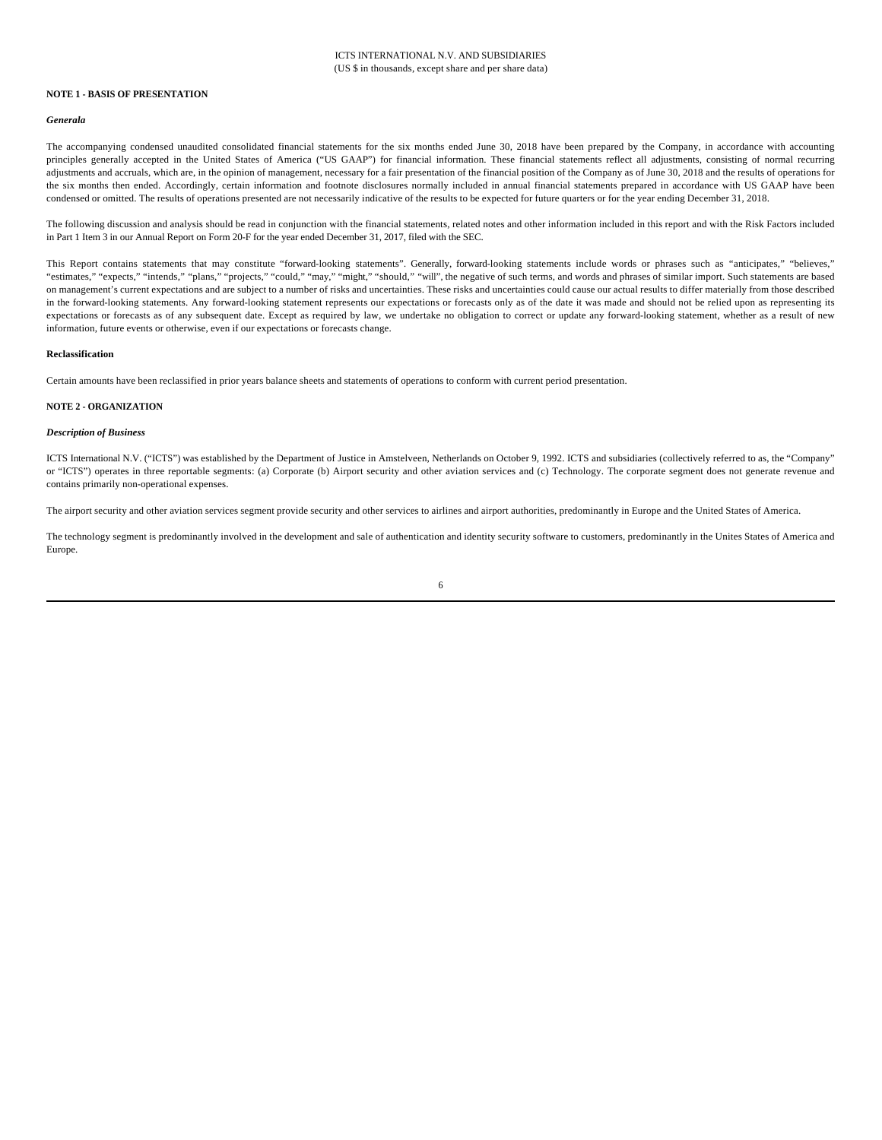#### **NOTE 1 - BASIS OF PRESENTATION**

#### *Generala*

The accompanying condensed unaudited consolidated financial statements for the six months ended June 30, 2018 have been prepared by the Company, in accordance with accounting principles generally accepted in the United States of America ("US GAAP") for financial information. These financial statements reflect all adjustments, consisting of normal recurring adjustments and accruals, which are, in the opinion of management, necessary for a fair presentation of the financial position of the Company as of June 30, 2018 and the results of operations for the six months then ended. Accordingly, certain information and footnote disclosures normally included in annual financial statements prepared in accordance with US GAAP have been condensed or omitted. The results of operations presented are not necessarily indicative of the results to be expected for future quarters or for the year ending December 31, 2018.

The following discussion and analysis should be read in conjunction with the financial statements, related notes and other information included in this report and with the Risk Factors included in Part 1 Item 3 in our Annual Report on Form 20-F for the year ended December 31, 2017, filed with the SEC.

This Report contains statements that may constitute "forward-looking statements". Generally, forward-looking statements include words or phrases such as "anticipates," "believes," "estimates," "expects," "intends," "plans," "projects," "could," "may," "might," "should," "will", the negative of such terms, and words and phrases of similar import. Such statements are based on management's current expectations and are subject to a number of risks and uncertainties. These risks and uncertainties could cause our actual results to differ materially from those described in the forward-looking statements. Any forward-looking statement represents our expectations or forecasts only as of the date it was made and should not be relied upon as representing its expectations or forecasts as of any subsequent date. Except as required by law, we undertake no obligation to correct or update any forward-looking statement, whether as a result of new information, future events or otherwise, even if our expectations or forecasts change.

#### **Reclassification**

Certain amounts have been reclassified in prior years balance sheets and statements of operations to conform with current period presentation.

# **NOTE 2 - ORGANIZATION**

#### *Description of Business*

ICTS International N.V. ("ICTS") was established by the Department of Justice in Amstelveen, Netherlands on October 9, 1992. ICTS and subsidiaries (collectively referred to as, the "Company" or "ICTS") operates in three reportable segments: (a) Corporate (b) Airport security and other aviation services and (c) Technology. The corporate segment does not generate revenue and contains primarily non-operational expenses.

The airport security and other aviation services segment provide security and other services to airlines and airport authorities, predominantly in Europe and the United States of America.

The technology segment is predominantly involved in the development and sale of authentication and identity security software to customers, predominantly in the Unites States of America and Europe.

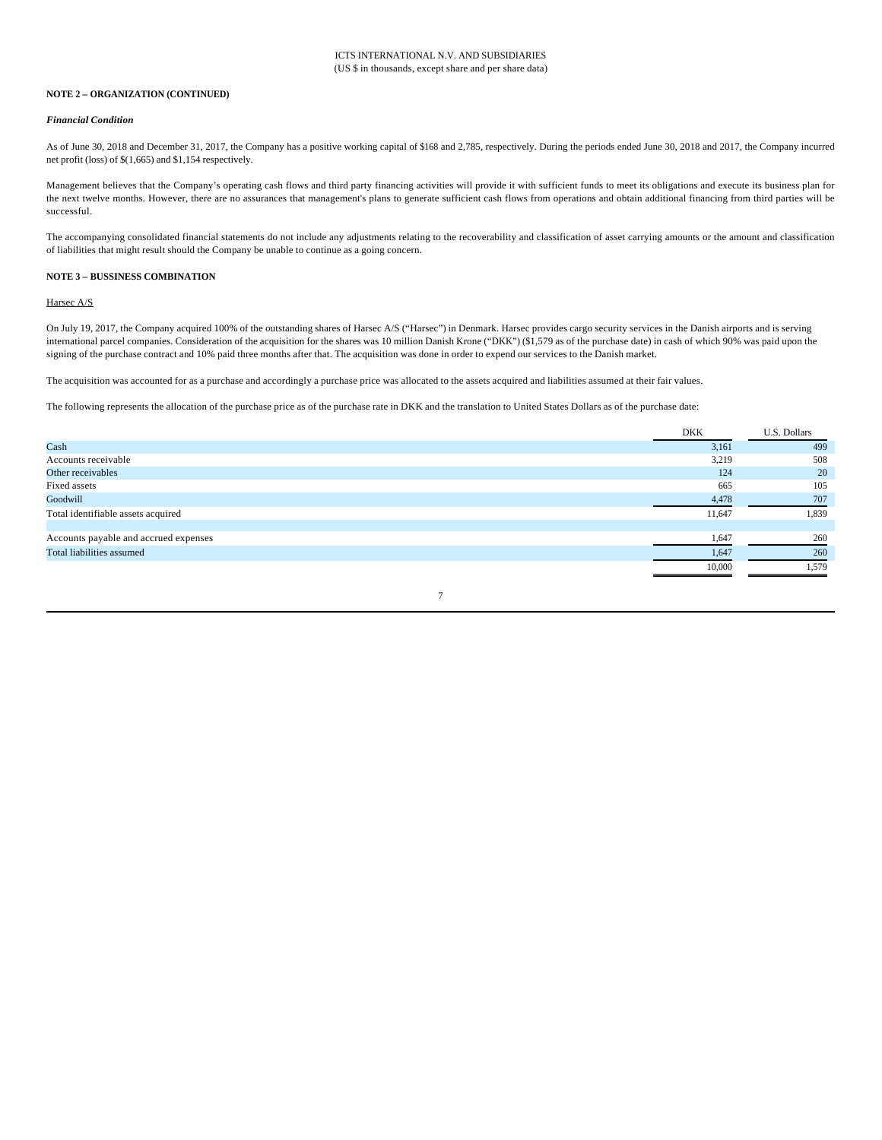## **NOTE 2 – ORGANIZATION (CONTINUED)**

#### *Financial Condition*

As of June 30, 2018 and December 31, 2017, the Company has a positive working capital of \$168 and 2,785, respectively. During the periods ended June 30, 2018 and 2017, the Company incurred net profit (loss) of \$(1,665) and \$1,154 respectively.

Management believes that the Company's operating cash flows and third party financing activities will provide it with sufficient funds to meet its obligations and execute its business plan for the next twelve months. However, there are no assurances that management's plans to generate sufficient cash flows from operations and obtain additional financing from third parties will be successful.

The accompanying consolidated financial statements do not include any adjustments relating to the recoverability and classification of asset carrying amounts or the amount and classification of liabilities that might result should the Company be unable to continue as a going concern.

## **NOTE 3 – BUSSINESS COMBINATION**

Harsec A/S

On July 19, 2017, the Company acquired 100% of the outstanding shares of Harsec A/S ("Harsec") in Denmark. Harsec provides cargo security services in the Danish airports and is serving international parcel companies. Consideration of the acquisition for the shares was 10 million Danish Krone ("DKK") (\$1,579 as of the purchase date) in cash of which 90% was paid upon the signing of the purchase contract and 10% paid three months after that. The acquisition was done in order to expend our services to the Danish market.

The acquisition was accounted for as a purchase and accordingly a purchase price was allocated to the assets acquired and liabilities assumed at their fair values.

The following represents the allocation of the purchase price as of the purchase rate in DKK and the translation to United States Dollars as of the purchase date:

|                                       | <b>DKK</b> | U.S. Dollars |
|---------------------------------------|------------|--------------|
| Cash                                  | 3,161      | 499          |
| Accounts receivable                   | 3,219      | 508          |
| Other receivables                     | 124        | 20           |
| Fixed assets                          | 665        | 105          |
| Goodwill                              | 4,478      | 707          |
| Total identifiable assets acquired    | 11,647     | 1,839        |
|                                       |            |              |
| Accounts payable and accrued expenses | 1,647      | 260          |
| Total liabilities assumed             | 1,647      | 260          |
|                                       | 10,000     | 1,579        |
|                                       |            |              |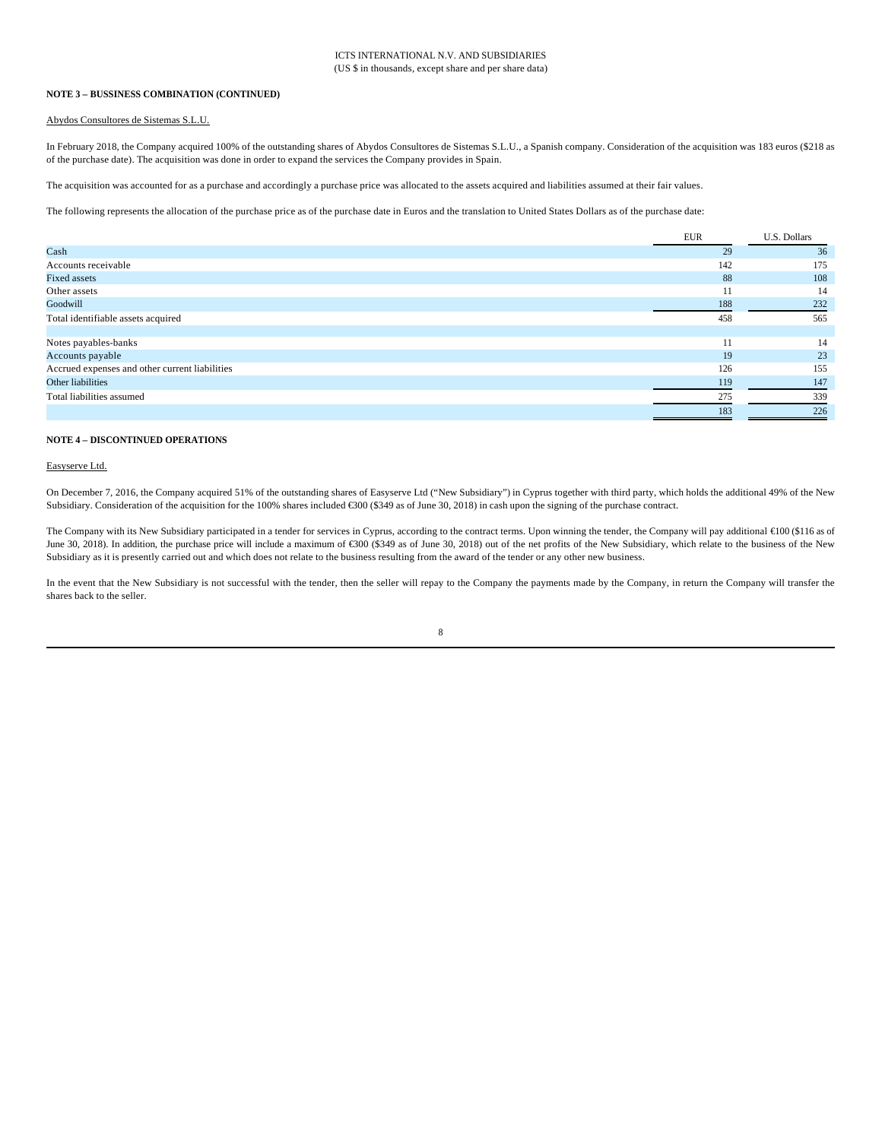## **NOTE 3 – BUSSINESS COMBINATION (CONTINUED)**

#### Abydos Consultores de Sistemas S.L.U.

In February 2018, the Company acquired 100% of the outstanding shares of Abydos Consultores de Sistemas S.L.U., a Spanish company. Consideration of the acquisition was 183 euros (\$218 as of the purchase date). The acquisition was done in order to expand the services the Company provides in Spain.

The acquisition was accounted for as a purchase and accordingly a purchase price was allocated to the assets acquired and liabilities assumed at their fair values.

The following represents the allocation of the purchase price as of the purchase date in Euros and the translation to United States Dollars as of the purchase date:

|                                                | <b>EUR</b> | U.S. Dollars |
|------------------------------------------------|------------|--------------|
| Cash                                           | 29         | 36           |
| Accounts receivable                            | 142        | 175          |
| <b>Fixed assets</b>                            | 88         | 108          |
| Other assets                                   |            | 14           |
| Goodwill                                       | 188        | 232          |
| Total identifiable assets acquired             | 458        | 565          |
|                                                |            |              |
| Notes payables-banks                           | 11         | 14           |
| Accounts payable                               | 19         | 23           |
| Accrued expenses and other current liabilities | 126        | 155          |
| Other liabilities                              | 119        | 147          |
| Total liabilities assumed                      | 275        | 339          |
|                                                | 183        | 226          |

# **NOTE 4 – DISCONTINUED OPERATIONS**

Easyserve Ltd.

On December 7, 2016, the Company acquired 51% of the outstanding shares of Easyserve Ltd ("New Subsidiary") in Cyprus together with third party, which holds the additional 49% of the New Subsidiary. Consideration of the acquisition for the 100% shares included €300 (\$349 as of June 30, 2018) in cash upon the signing of the purchase contract.

The Company with its New Subsidiary participated in a tender for services in Cyprus, according to the contract terms. Upon winning the tender, the Company will pay additional €100 (\$116 as of June 30, 2018). In addition, the purchase price will include a maximum of €300 (\$349 as of June 30, 2018) out of the net profits of the New Subsidiary, which relate to the business of the New Subsidiary as it is presently carried out and which does not relate to the business resulting from the award of the tender or any other new business.

In the event that the New Subsidiary is not successful with the tender, then the seller will repay to the Company the payments made by the Company, in return the Company will transfer the shares back to the seller.

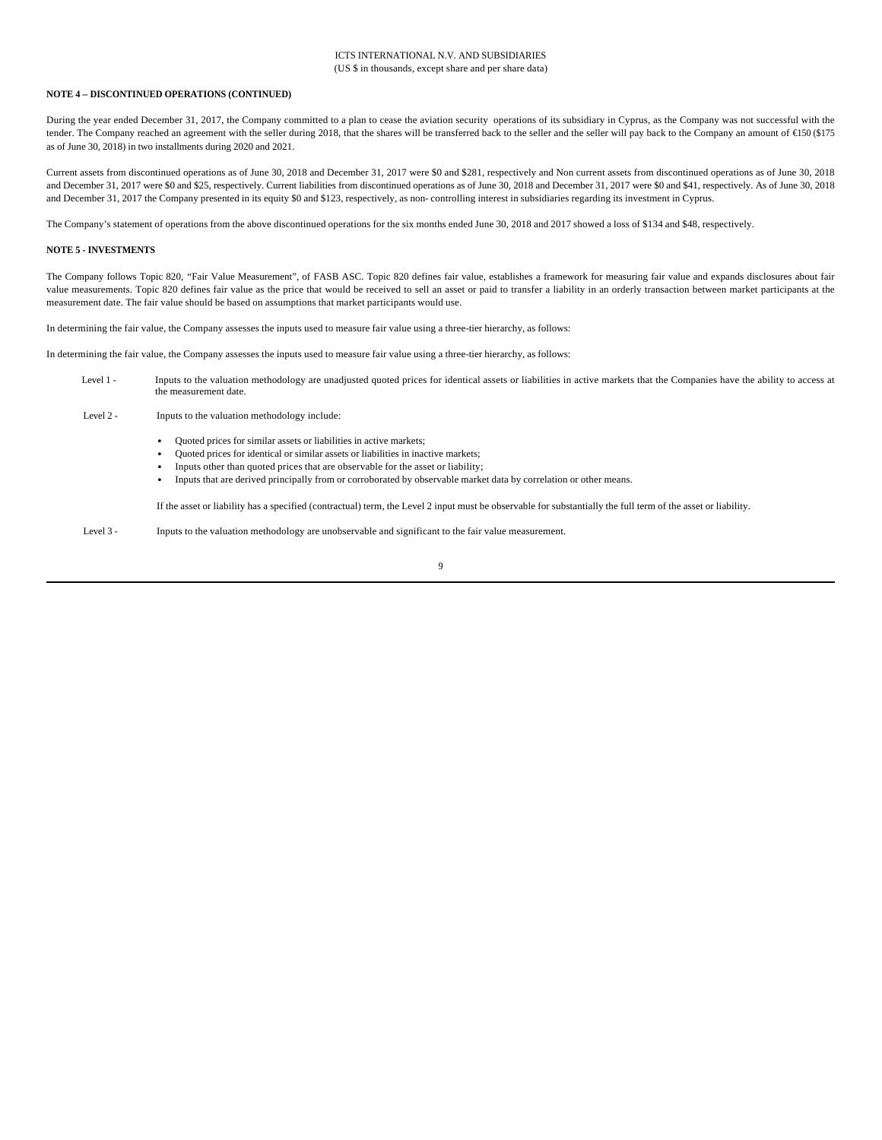## **NOTE 4 – DISCONTINUED OPERATIONS (CONTINUED)**

During the year ended December 31, 2017, the Company committed to a plan to cease the aviation security operations of its subsidiary in Cyprus, as the Company was not successful with the tender. The Company reached an agreement with the seller during 2018, that the shares will be transferred back to the seller and the seller will pay back to the Company an amount of €150 (\$175 as of June 30, 2018) in two installments during 2020 and 2021.

Current assets from discontinued operations as of June 30, 2018 and December 31, 2017 were \$0 and \$281, respectively and Non current assets from discontinued operations as of June 30, 2018 and December 31, 2017 were \$0 and \$25, respectively. Current liabilities from discontinued operations as of June 30, 2018 and December 31, 2017 were \$0 and \$41, respectively. As of June 30, 2018 and December 31, 2017 the Company presented in its equity \$0 and \$123, respectively, as non- controlling interest in subsidiaries regarding its investment in Cyprus.

The Company's statement of operations from the above discontinued operations for the six months ended June 30, 2018 and 2017 showed a loss of \$134 and \$48, respectively.

#### **NOTE 5 - INVESTMENTS**

The Company follows Topic 820, "Fair Value Measurement", of FASB ASC. Topic 820 defines fair value, establishes a framework for measuring fair value and expands disclosures about fair value measurements. Topic 820 defines fair value as the price that would be received to sell an asset or paid to transfer a liability in an orderly transaction between market participants at the measurement date. The fair value should be based on assumptions that market participants would use.

In determining the fair value, the Company assesses the inputs used to measure fair value using a three-tier hierarchy, as follows:

In determining the fair value, the Company assesses the inputs used to measure fair value using a three-tier hierarchy, as follows:

- Level 1 Inputs to the valuation methodology are unadjusted quoted prices for identical assets or liabilities in active markets that the Companies have the ability to access at the measurement date.
- Level 2 Inputs to the valuation methodology include:
	- Quoted prices for similar assets or liabilities in active markets; Quoted prices for identical or similar assets or liabilities in inactive markets; Inputs other than quoted prices that are observable for the asset or liability; Inputs that are derived principally from or corroborated by observable market data by correlation or other means.

If the asset or liability has a specified (contractual) term, the Level 2 input must be observable for substantially the full term of the asset or liability.

Level 3 - Inputs to the valuation methodology are unobservable and significant to the fair value measurement.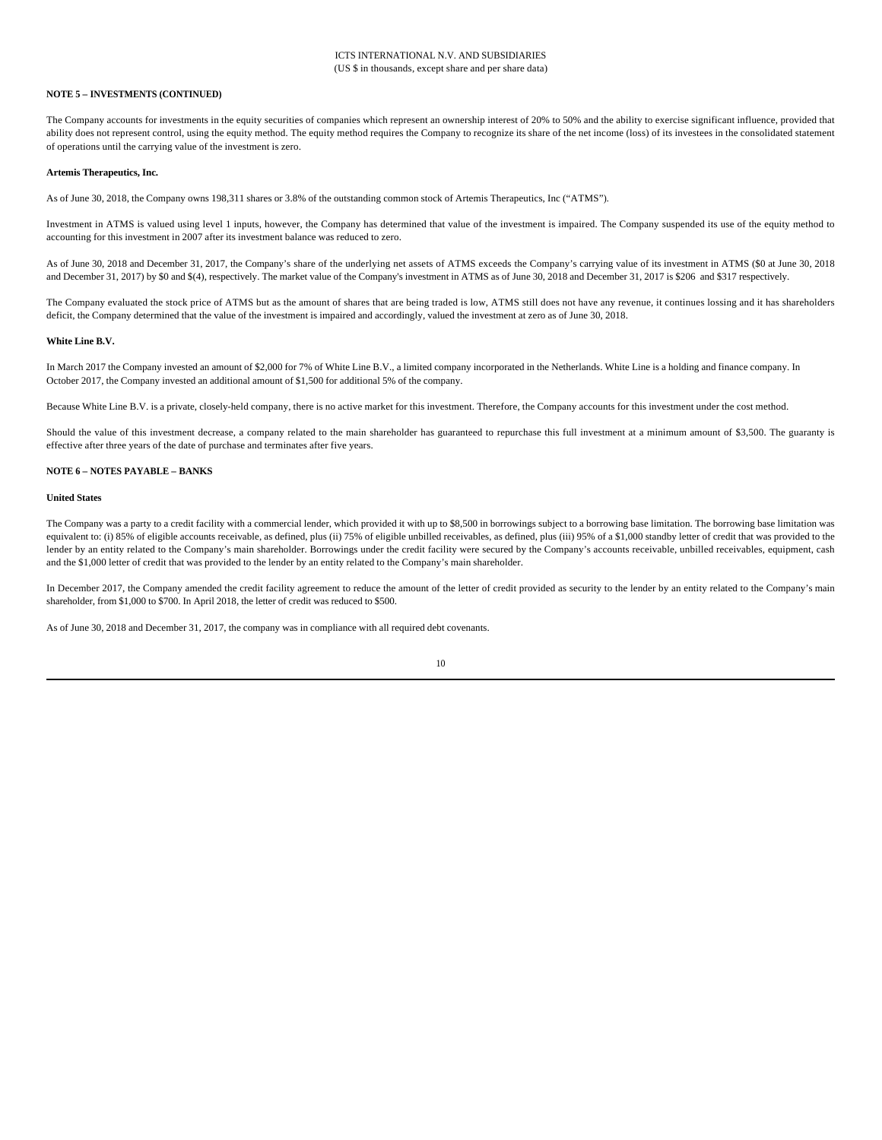# **NOTE 5 – INVESTMENTS (CONTINUED)**

The Company accounts for investments in the equity securities of companies which represent an ownership interest of 20% to 50% and the ability to exercise significant influence, provided that ability does not represent control, using the equity method. The equity method requires the Company to recognize its share of the net income (loss) of its investees in the consolidated statement of operations until the carrying value of the investment is zero.

#### **Artemis Therapeutics, Inc.**

As of June 30, 2018, the Company owns 198,311 shares or 3.8% of the outstanding common stock of Artemis Therapeutics, Inc ("ATMS").

Investment in ATMS is valued using level 1 inputs, however, the Company has determined that value of the investment is impaired. The Company suspended its use of the equity method to accounting for this investment in 2007 after its investment balance was reduced to zero.

As of June 30, 2018 and December 31, 2017, the Company's share of the underlying net assets of ATMS exceeds the Company's carrying value of its investment in ATMS (\$0 at June 30, 2018 and December 31, 2017) by \$0 and \$(4), respectively. The market value of the Company's investment in ATMS as of June 30, 2018 and December 31, 2017 is \$206 and \$317 respectively.

The Company evaluated the stock price of ATMS but as the amount of shares that are being traded is low, ATMS still does not have any revenue, it continues lossing and it has shareholders deficit, the Company determined that the value of the investment is impaired and accordingly, valued the investment at zero as of June 30, 2018.

#### **White Line B.V.**

In March 2017 the Company invested an amount of \$2,000 for 7% of White Line B.V., a limited company incorporated in the Netherlands. White Line is a holding and finance company. In October 2017, the Company invested an additional amount of \$1,500 for additional 5% of the company.

Because White Line B.V. is a private, closely-held company, there is no active market for this investment. Therefore, the Company accounts for this investment under the cost method.

Should the value of this investment decrease, a company related to the main shareholder has guaranteed to repurchase this full investment at a minimum amount of \$3,500. The guaranty is effective after three years of the date of purchase and terminates after five years.

#### **NOTE 6 – NOTES PAYABLE – BANKS**

# **United States**

The Company was a party to a credit facility with a commercial lender, which provided it with up to \$8,500 in borrowings subject to a borrowing base limitation. The borrowing base limitation was equivalent to: (i) 85% of eligible accounts receivable, as defined, plus (ii) 75% of eligible unbilled receivables, as defined, plus (iii) 95% of a \$1,000 standby letter of credit that was provided to the lender by an entity related to the Company's main shareholder. Borrowings under the credit facility were secured by the Company's accounts receivable, unbilled receivables, equipment, cash and the \$1,000 letter of credit that was provided to the lender by an entity related to the Company's main shareholder.

In December 2017, the Company amended the credit facility agreement to reduce the amount of the letter of credit provided as security to the lender by an entity related to the Company's main shareholder, from \$1,000 to \$700. In April 2018, the letter of credit was reduced to \$500.

As of June 30, 2018 and December 31, 2017, the company was in compliance with all required debt covenants.

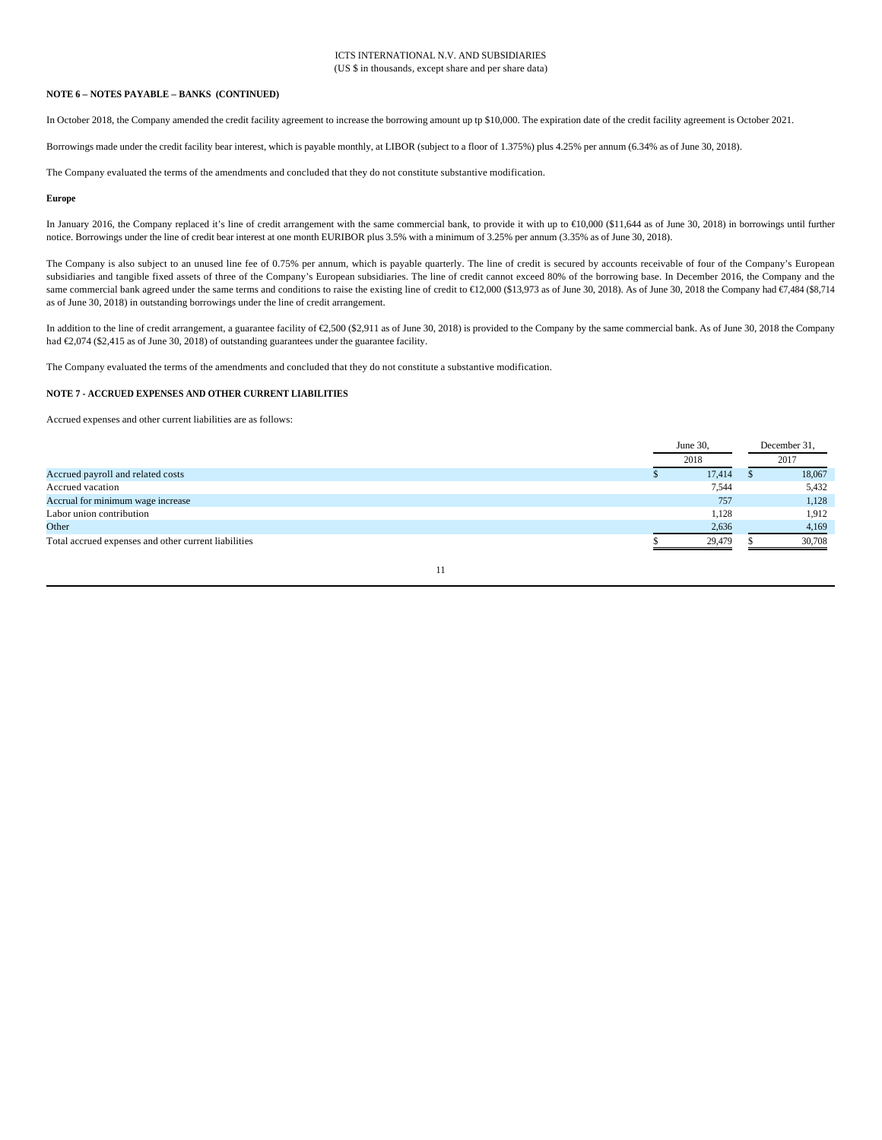## ICTS INTERNATIONAL N.V. AND SUBSIDIARIES (US \$ in thousands, except share and per share data)

## **NOTE 6 – NOTES PAYABLE – BANKS (CONTINUED)**

In October 2018, the Company amended the credit facility agreement to increase the borrowing amount up tp \$10,000. The expiration date of the credit facility agreement is October 2021.

Borrowings made under the credit facility bear interest, which is payable monthly, at LIBOR (subject to a floor of 1.375%) plus 4.25% per annum (6.34% as of June 30, 2018).

The Company evaluated the terms of the amendments and concluded that they do not constitute substantive modification.

#### **Europe**

In January 2016, the Company replaced it's line of credit arrangement with the same commercial bank, to provide it with up to €10,000 (\$11,644 as of June 30, 2018) in borrowings until further notice. Borrowings under the line of credit bear interest at one month EURIBOR plus 3.5% with a minimum of 3.25% per annum (3.35% as of June 30, 2018).

The Company is also subject to an unused line fee of 0.75% per annum, which is payable quarterly. The line of credit is secured by accounts receivable of four of the Company's European subsidiaries and tangible fixed assets of three of the Company's European subsidiaries. The line of credit cannot exceed 80% of the borrowing base. In December 2016, the Company and the same commercial bank agreed under the same terms and conditions to raise the existing line of credit to €12,000 (\$13,973 as of June 30, 2018). As of June 30, 2018 the Company had €7,484 (\$8,714 as of June 30, 2018) in outstanding borrowings under the line of credit arrangement.

In addition to the line of credit arrangement, a guarantee facility of  $\mathcal{Q}$ ,500 (\$2,911 as of June 30, 2018) is provided to the Company by the same commercial bank. As of June 30, 2018 the Company had €2,074 (\$2,415 as of June 30, 2018) of outstanding guarantees under the guarantee facility.

The Company evaluated the terms of the amendments and concluded that they do not constitute a substantive modification.

## **NOTE 7 - ACCRUED EXPENSES AND OTHER CURRENT LIABILITIES**

Accrued expenses and other current liabilities are as follows:

|                                                      | June 30, | December 31, |
|------------------------------------------------------|----------|--------------|
|                                                      | 2018     | 2017         |
| Accrued payroll and related costs                    | 17,414   | 18,067       |
| Accrued vacation                                     | 7,544    | 5,432        |
| Accrual for minimum wage increase                    | 757      | 1,128        |
| Labor union contribution                             | 1,128    | 1,912        |
| Other                                                | 2,636    | 4,169        |
| Total accrued expenses and other current liabilities | 29.479   | 30.708       |

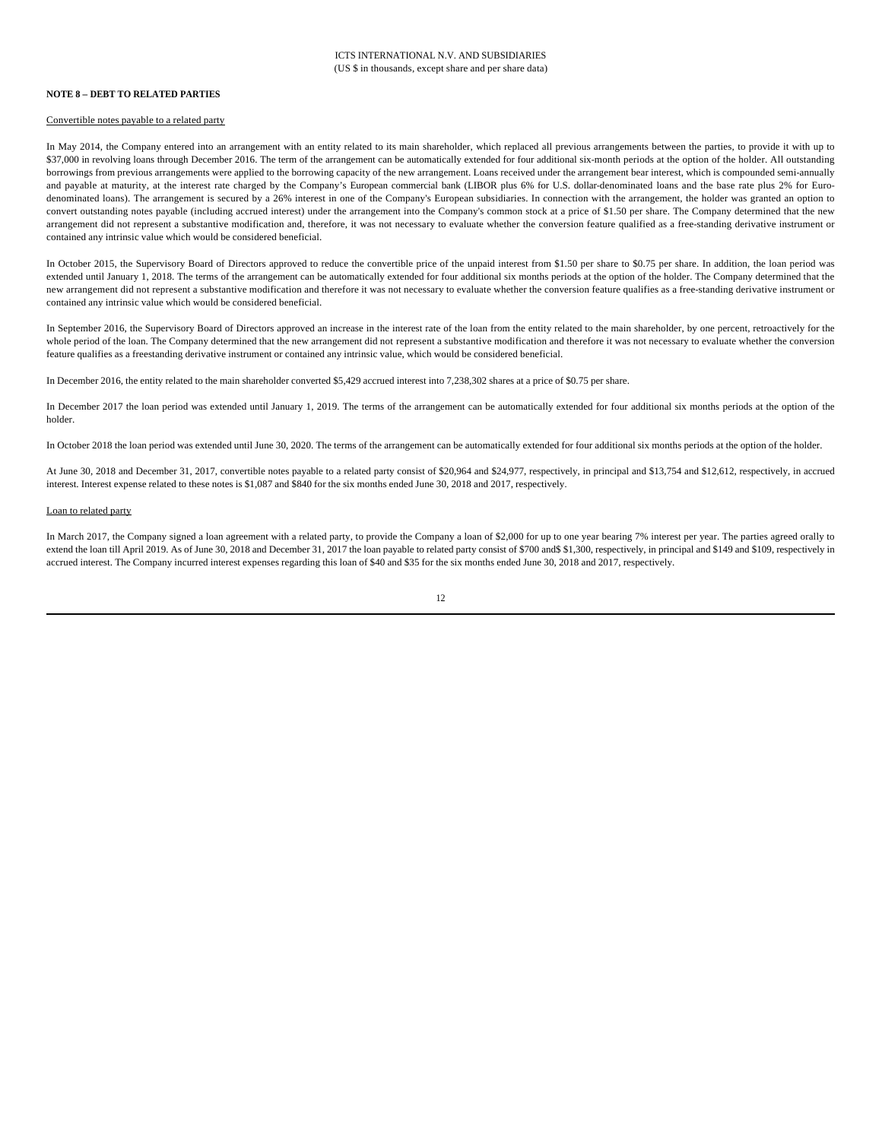#### **NOTE 8 – DEBT TO RELATED PARTIES**

## Convertible notes payable to a related party

In May 2014, the Company entered into an arrangement with an entity related to its main shareholder, which replaced all previous arrangements between the parties, to provide it with up to \$37,000 in revolving loans through December 2016. The term of the arrangement can be automatically extended for four additional six-month periods at the option of the holder. All outstanding borrowings from previous arrangements were applied to the borrowing capacity of the new arrangement. Loans received under the arrangement bear interest, which is compounded semi-annually and payable at maturity, at the interest rate charged by the Company's European commercial bank (LIBOR plus 6% for U.S. dollar-denominated loans and the base rate plus 2% for Eurodenominated loans). The arrangement is secured by a 26% interest in one of the Company's European subsidiaries. In connection with the arrangement, the holder was granted an option to convert outstanding notes payable (including accrued interest) under the arrangement into the Company's common stock at a price of \$1.50 per share. The Company determined that the new arrangement did not represent a substantive modification and, therefore, it was not necessary to evaluate whether the conversion feature qualified as a free-standing derivative instrument or contained any intrinsic value which would be considered beneficial.

In October 2015, the Supervisory Board of Directors approved to reduce the convertible price of the unpaid interest from \$1.50 per share to \$0.75 per share. In addition, the loan period was extended until January 1, 2018. The terms of the arrangement can be automatically extended for four additional six months periods at the option of the holder. The Company determined that the new arrangement did not represent a substantive modification and therefore it was not necessary to evaluate whether the conversion feature qualifies as a free-standing derivative instrument or contained any intrinsic value which would be considered beneficial.

In September 2016, the Supervisory Board of Directors approved an increase in the interest rate of the loan from the entity related to the main shareholder, by one percent, retroactively for the whole period of the loan. The Company determined that the new arrangement did not represent a substantive modification and therefore it was not necessary to evaluate whether the conversion feature qualifies as a freestanding derivative instrument or contained any intrinsic value, which would be considered beneficial.

In December 2016, the entity related to the main shareholder converted \$5,429 accrued interest into 7,238,302 shares at a price of \$0.75 per share.

In December 2017 the loan period was extended until January 1, 2019. The terms of the arrangement can be automatically extended for four additional six months periods at the option of the holder.

In October 2018 the loan period was extended until June 30, 2020. The terms of the arrangement can be automatically extended for four additional six months periods at the option of the holder.

At June 30, 2018 and December 31, 2017, convertible notes payable to a related party consist of \$20,964 and \$24,977, respectively, in principal and \$13,754 and \$12,612, respectively, in accrued interest. Interest expense related to these notes is \$1,087 and \$840 for the six months ended June 30, 2018 and 2017, respectively.

#### Loan to related party

In March 2017, the Company signed a loan agreement with a related party, to provide the Company a loan of \$2,000 for up to one year bearing 7% interest per year. The parties agreed orally to extend the loan till April 2019. As of June 30, 2018 and December 31, 2017 the loan payable to related party consist of \$700 and\$ \$1,300, respectively, in principal and \$149 and \$149 and \$109, respectively in accrued interest. The Company incurred interest expenses regarding this loan of \$40 and \$35 for the six months ended June 30, 2018 and 2017, respectively.

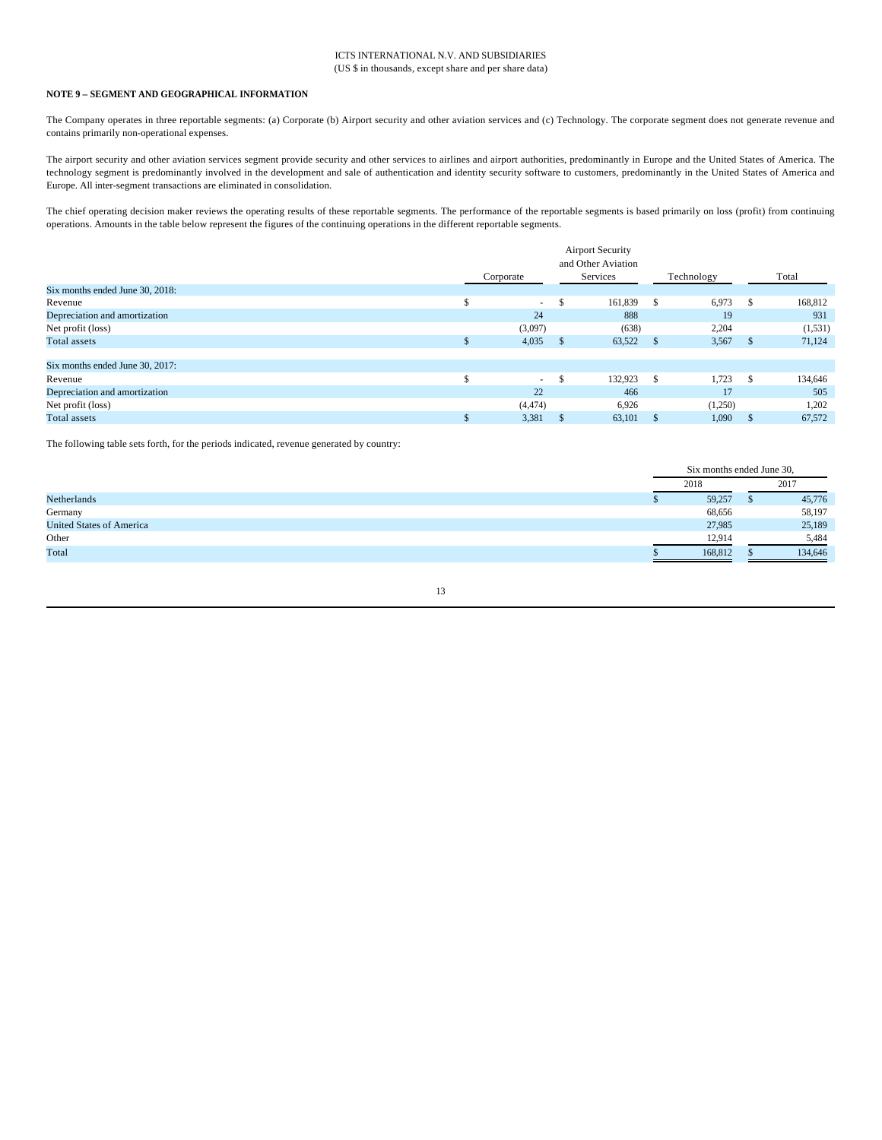# **NOTE 9 – SEGMENT AND GEOGRAPHICAL INFORMATION**

The Company operates in three reportable segments: (a) Corporate (b) Airport security and other aviation services and (c) Technology. The corporate segment does not generate revenue and contains primarily non-operational expenses.

The airport security and other aviation services segment provide security and other services to airlines and airport authorities, predominantly in Europe and the United States of America. The technology segment is predominantly involved in the development and sale of authentication and identity security software to customers, predominantly in the United States of America and Europe. All inter-segment transactions are eliminated in consolidation.

The chief operating decision maker reviews the operating results of these reportable segments. The performance of the reportable segments is based primarily on loss (profit) from continuing operations. Amounts in the table below represent the figures of the continuing operations in the different reportable segments.

|                                 |   |           |               | <b>Airport Security</b> |              |            |     |          |
|---------------------------------|---|-----------|---------------|-------------------------|--------------|------------|-----|----------|
|                                 |   |           |               | and Other Aviation      |              |            |     |          |
|                                 |   | Corporate |               | Services                |              | Technology |     | Total    |
| Six months ended June 30, 2018: |   |           |               |                         |              |            |     |          |
| Revenue                         | ж | $\sim$    | \$            | 161,839                 | $\mathbf{s}$ | 6,973      | -S  | 168,812  |
| Depreciation and amortization   |   | 24        |               | 888                     |              | 19         |     | 931      |
| Net profit (loss)               |   | (3,097)   |               | (638)                   |              | 2,204      |     | (1, 531) |
| <b>Total assets</b>             |   | 4,035     | Ъ.            | 63,522                  | -S           | 3,567      | -S. | 71,124   |
|                                 |   |           |               |                         |              |            |     |          |
| Six months ended June 30, 2017: |   |           |               |                         |              |            |     |          |
| Revenue                         |   | $\sim$    | <sup>\$</sup> | 132,923                 | - \$         | 1,723      | -S  | 134,646  |
| Depreciation and amortization   |   | 22        |               | 466                     |              | 17         |     | 505      |
| Net profit (loss)               |   | (4, 474)  |               | 6,926                   |              | (1,250)    |     | 1,202    |
| Total assets                    |   | 3,381     |               | 63,101                  | <b>S</b>     | 1,090      | S   | 67,572   |

The following table sets forth, for the periods indicated, revenue generated by country:

|                                 | Six months ended June 30, |  |         |  |
|---------------------------------|---------------------------|--|---------|--|
|                                 | 2018                      |  | 2017    |  |
| Netherlands                     | 59,257                    |  | 45,776  |  |
| Germany                         | 68,656                    |  | 58,197  |  |
| <b>United States of America</b> | 27,985                    |  | 25,189  |  |
| Other                           | 12,914                    |  | 5,484   |  |
| Total                           | 168,812                   |  | 134,646 |  |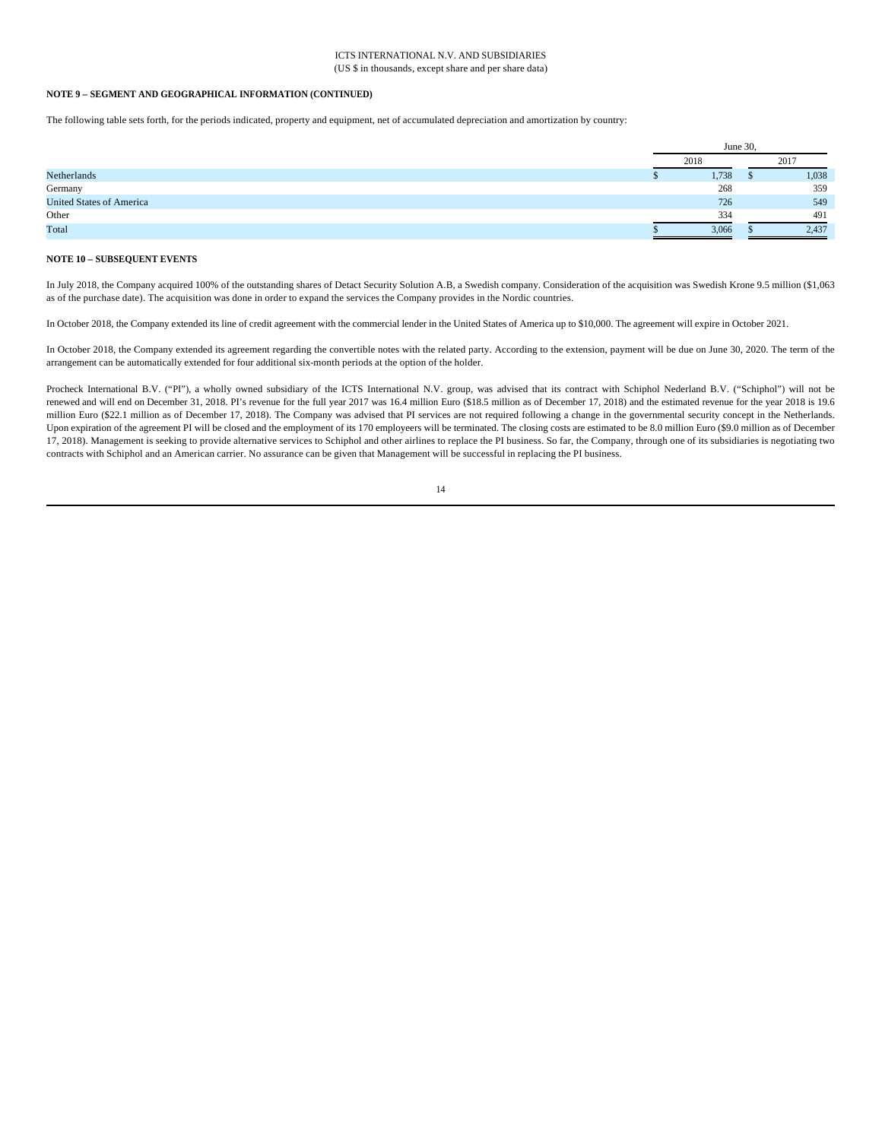## ICTS INTERNATIONAL N.V. AND SUBSIDIARIES (US \$ in thousands, except share and per share data)

## **NOTE 9 – SEGMENT AND GEOGRAPHICAL INFORMATION (CONTINUED)**

The following table sets forth, for the periods indicated, property and equipment, net of accumulated depreciation and amortization by country:

|                                 | June 30, |       |  |       |
|---------------------------------|----------|-------|--|-------|
|                                 |          | 2018  |  | 2017  |
| Netherlands                     |          | 1,738 |  | 1,038 |
| Germany                         |          | 268   |  | 359   |
| <b>United States of America</b> |          | 726   |  | 549   |
| Other                           |          | 334   |  | 491   |
| Total                           |          | 3,066 |  | 2,437 |

#### **NOTE 10 – SUBSEQUENT EVENTS**

In July 2018, the Company acquired 100% of the outstanding shares of Detact Security Solution A.B, a Swedish company. Consideration of the acquisition was Swedish Krone 9.5 million (\$1,063 as of the purchase date). The acquisition was done in order to expand the services the Company provides in the Nordic countries.

In October 2018, the Company extended its line of credit agreement with the commercial lender in the United States of America up to \$10,000. The agreement will expire in October 2021.

In October 2018, the Company extended its agreement regarding the convertible notes with the related party. According to the extension, payment will be due on June 30, 2020. The term of the arrangement can be automatically extended for four additional six-month periods at the option of the holder.

Procheck International B.V. ("PI"), a wholly owned subsidiary of the ICTS International N.V. group, was advised that its contract with Schiphol Nederland B.V. ("Schiphol") will not be renewed and will end on December 31, 2018. PI's revenue for the full year 2017 was 16.4 million Euro (\$18.5 million as of December 17, 2018) and the estimated revenue for the year 2018 is 19.6 million Euro (\$22.1 million as of December 17, 2018). The Company was advised that PI services are not required following a change in the governmental security concept in the Netherlands. Upon expiration of the agreement PI will be closed and the employment of its 170 employeers will be terminated. The closing costs are estimated to be 8.0 million Euro (\$9.0 million as of December 17, 2018). Management is seeking to provide alternative services to Schiphol and other airlines to replace the PI business. So far, the Company, through one of its subsidiaries is negotiating two contracts with Schiphol and an American carrier. No assurance can be given that Management will be successful in replacing the PI business.

<sup>14</sup>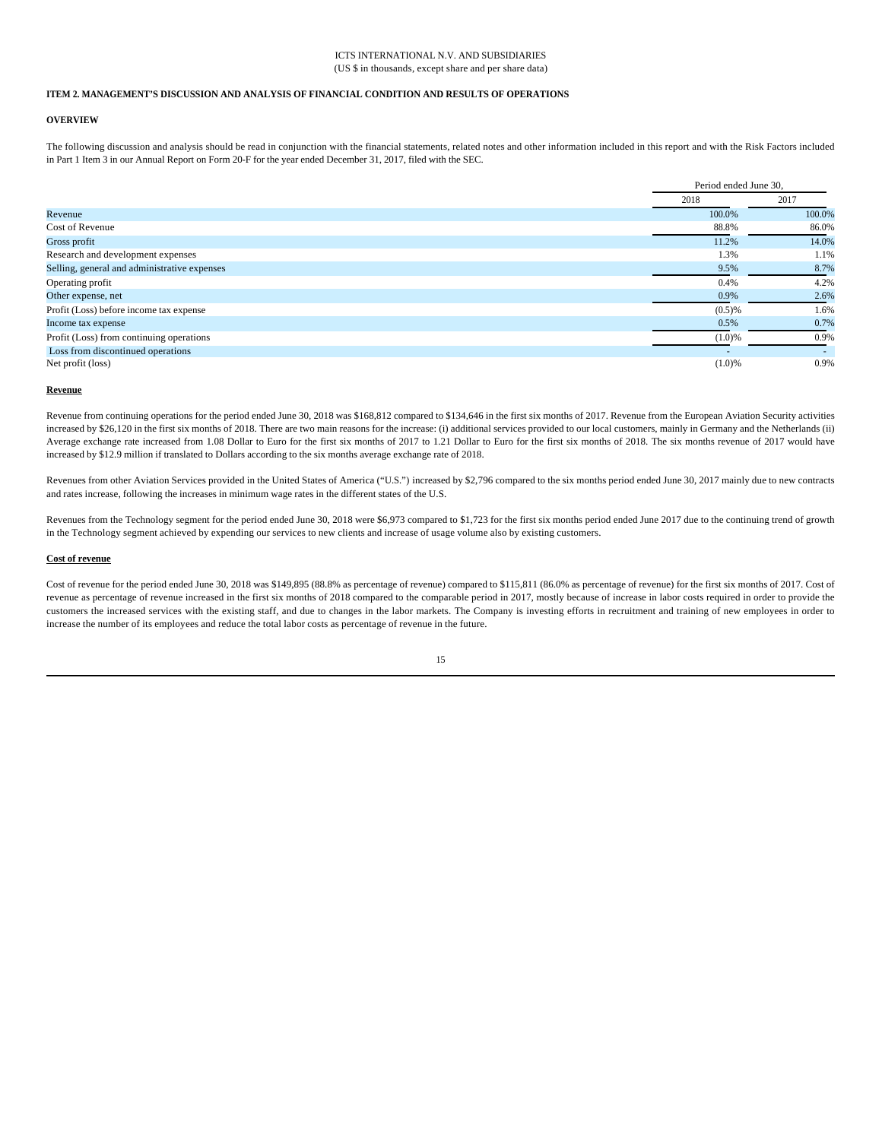## ICTS INTERNATIONAL N.V. AND SUBSIDIARIES (US \$ in thousands, except share and per share data)

# **ITEM 2. MANAGEMENT'S DISCUSSION AND ANALYSIS OF FINANCIAL CONDITION AND RESULTS OF OPERATIONS**

#### **OVERVIEW**

The following discussion and analysis should be read in conjunction with the financial statements, related notes and other information included in this report and with the Risk Factors included in Part 1 Item 3 in our Annual Report on Form 20-F for the year ended December 31, 2017, filed with the SEC.

|                                              | Period ended June 30, |                          |
|----------------------------------------------|-----------------------|--------------------------|
|                                              | 2018                  | 2017                     |
| Revenue                                      | 100.0%                | 100.0%                   |
| Cost of Revenue                              | 88.8%                 | 86.0%                    |
| Gross profit                                 | 11.2%                 | 14.0%                    |
| Research and development expenses            | 1.3%                  | 1.1%                     |
| Selling, general and administrative expenses | 9.5%                  | 8.7%                     |
| Operating profit                             | 0.4%                  | 4.2%                     |
| Other expense, net                           | 0.9%                  | 2.6%                     |
| Profit (Loss) before income tax expense      | (0.5)%                | 1.6%                     |
| Income tax expense                           | 0.5%                  | 0.7%                     |
| Profit (Loss) from continuing operations     | (1.0)%                | 0.9%                     |
| Loss from discontinued operations            | ۰                     | $\overline{\phantom{a}}$ |
| Net profit (loss)                            | (1.0)%                | 0.9%                     |

#### **Revenue**

Revenue from continuing operations for the period ended June 30, 2018 was \$168,812 compared to \$134,646 in the first six months of 2017. Revenue from the European Aviation Security activities increased by \$26,120 in the first six months of 2018. There are two main reasons for the increase: (i) additional services provided to our local customers, mainly in Germany and the Netherlands (ii) Average exchange rate increased from 1.08 Dollar to Euro for the first six months of 2017 to 1.21 Dollar to Euro for the first six months of 2018. The six months revenue of 2017 would have increased by \$12.9 million if translated to Dollars according to the six months average exchange rate of 2018.

Revenues from other Aviation Services provided in the United States of America ("U.S.") increased by \$2,796 compared to the six months period ended June 30, 2017 mainly due to new contracts and rates increase, following the increases in minimum wage rates in the different states of the U.S.

Revenues from the Technology segment for the period ended June 30, 2018 were \$6,973 compared to \$1,723 for the first six months period ended June 2017 due to the continuing trend of growth in the Technology segment achieved by expending our services to new clients and increase of usage volume also by existing customers.

#### **Cost of revenue**

Cost of revenue for the period ended June 30, 2018 was \$149,895 (88.8% as percentage of revenue) compared to \$115,811 (86.0% as percentage of revenue) for the first six months of 2017. Cost of revenue as percentage of revenue increased in the first six months of 2018 compared to the comparable period in 2017, mostly because of increase in labor costs required in order to provide the customers the increased services with the existing staff, and due to changes in the labor markets. The Company is investing efforts in recruitment and training of new employees in order to increase the number of its employees and reduce the total labor costs as percentage of revenue in the future.

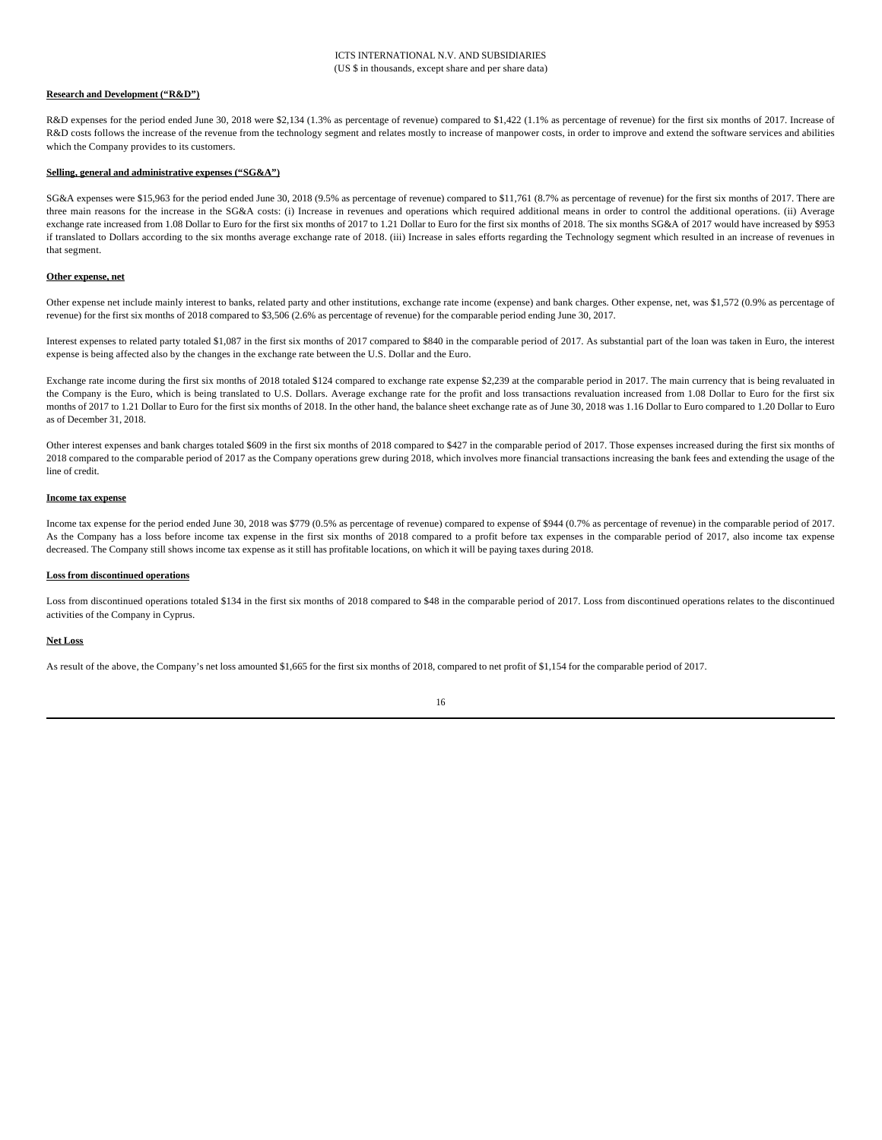# **Research and Development ("R&D")**

R&D expenses for the period ended June 30, 2018 were \$2,134 (1.3% as percentage of revenue) compared to \$1,422 (1.1% as percentage of revenue) for the first six months of 2017. Increase of R&D costs follows the increase of the revenue from the technology segment and relates mostly to increase of manpower costs, in order to improve and extend the software services and abilities which the Company provides to its customers.

#### **Selling, general and administrative expenses ("SG&A")**

SG&A expenses were \$15,963 for the period ended June 30, 2018 (9.5% as percentage of revenue) compared to \$11,761 (8.7% as percentage of revenue) for the first six months of 2017. There are three main reasons for the increase in the SG&A costs: (i) Increase in revenues and operations which required additional means in order to control the additional operations. (ii) Average exchange rate increased from 1.08 Dollar to Euro for the first six months of 2017 to 1.21 Dollar to Euro for the first six months of 2018. The six months SG&A of 2017 would have increased by \$953 if translated to Dollars according to the six months average exchange rate of 2018. (iii) Increase in sales efforts regarding the Technology segment which resulted in an increase of revenues in that segment.

# **Other expense, net**

Other expense net include mainly interest to banks, related party and other institutions, exchange rate income (expense) and bank charges. Other expense, net, was \$1,572 (0.9% as percentage of revenue) for the first six months of 2018 compared to \$3,506 (2.6% as percentage of revenue) for the comparable period ending June 30, 2017.

Interest expenses to related party totaled \$1,087 in the first six months of 2017 compared to \$840 in the comparable period of 2017. As substantial part of the loan was taken in Euro, the interest expense is being affected also by the changes in the exchange rate between the U.S. Dollar and the Euro.

Exchange rate income during the first six months of 2018 totaled \$124 compared to exchange rate expense \$2,239 at the comparable period in 2017. The main currency that is being revaluated in the Company is the Euro, which is being translated to U.S. Dollars. Average exchange rate for the profit and loss transactions revaluation increased from 1.08 Dollar to Euro for the first six months of 2017 to 1.21 Dollar to Euro for the first six months of 2018. In the other hand, the balance sheet exchange rate as of June 30, 2018 was 1.16 Dollar to Euro compared to 1.20 Dollar to Euro as of December 31, 2018.

Other interest expenses and bank charges totaled \$609 in the first six months of 2018 compared to \$427 in the comparable period of 2017. Those expenses increased during the first six months of 2018 compared to the comparable period of 2017 as the Company operations grew during 2018, which involves more financial transactions increasing the bank fees and extending the usage of the line of credit.

## **Income tax expense**

Income tax expense for the period ended June 30, 2018 was \$779 (0.5% as percentage of revenue) compared to expense of \$944 (0.7% as percentage of revenue) in the comparable period of 2017. As the Company has a loss before income tax expense in the first six months of 2018 compared to a profit before tax expenses in the comparable period of 2017, also income tax expense decreased. The Company still shows income tax expense as it still has profitable locations, on which it will be paying taxes during 2018.

# **Loss from discontinued operations**

Loss from discontinued operations totaled \$134 in the first six months of 2018 compared to \$48 in the comparable period of 2017. Loss from discontinued operations relates to the discontinued activities of the Company in Cyprus.

#### **Net Loss**

As result of the above, the Company's net loss amounted \$1,665 for the first six months of 2018, compared to net profit of \$1,154 for the comparable period of 2017.